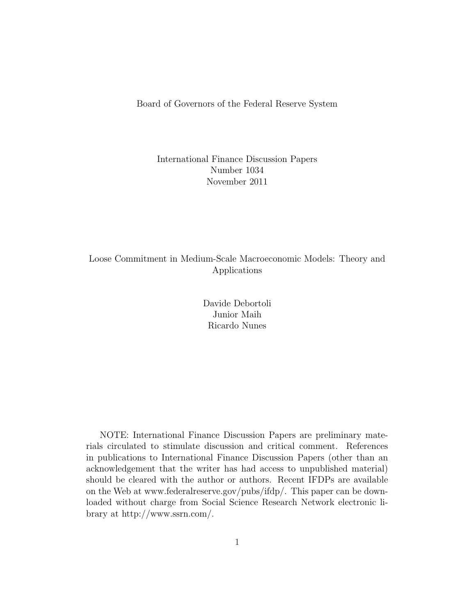Board of Governors of the Federal Reserve System

#### International Finance Discussion Papers Number 1034 November 2011

#### Loose Commitment in Medium-Scale Macroeconomic Models: Theory and Applications

Davide Debortoli Junior Maih Ricardo Nunes

NOTE: International Finance Discussion Papers are preliminary materials circulated to stimulate discussion and critical comment. References in publications to International Finance Discussion Papers (other than an acknowledgement that the writer has had access to unpublished material) should be cleared with the author or authors. Recent IFDPs are available on the Web at www.federalreserve.gov/pubs/ifdp/. This paper can be downloaded without charge from Social Science Research Network electronic library at http://www.ssrn.com/.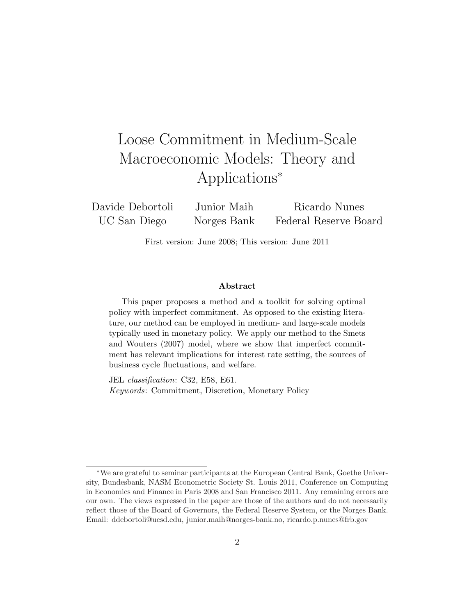# Loose Commitment in Medium-Scale Macroeconomic Models: Theory and Applications<sup>∗</sup>

Davide Debortoli UC San Diego Junior Maih Norges Bank Ricardo Nunes Federal Reserve Board

First version: June 2008; This version: June 2011

#### Abstract

This paper proposes a method and a toolkit for solving optimal policy with imperfect commitment. As opposed to the existing literature, our method can be employed in medium- and large-scale models typically used in monetary policy. We apply our method to the Smets and Wouters (2007) model, where we show that imperfect commitment has relevant implications for interest rate setting, the sources of business cycle fluctuations, and welfare.

JEL classification: C32, E58, E61. Keywords: Commitment, Discretion, Monetary Policy

<sup>∗</sup>We are grateful to seminar participants at the European Central Bank, Goethe University, Bundesbank, NASM Econometric Society St. Louis 2011, Conference on Computing in Economics and Finance in Paris 2008 and San Francisco 2011. Any remaining errors are our own. The views expressed in the paper are those of the authors and do not necessarily reflect those of the Board of Governors, the Federal Reserve System, or the Norges Bank. Email: ddebortoli@ucsd.edu, junior.maih@norges-bank.no, ricardo.p.nunes@frb.gov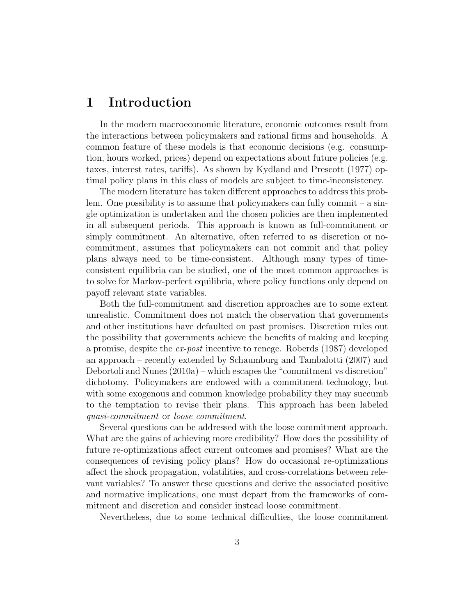## 1 Introduction

In the modern macroeconomic literature, economic outcomes result from the interactions between policymakers and rational firms and households. A common feature of these models is that economic decisions (e.g. consumption, hours worked, prices) depend on expectations about future policies (e.g. taxes, interest rates, tariffs). As shown by Kydland and Prescott (1977) optimal policy plans in this class of models are subject to time-inconsistency.

The modern literature has taken different approaches to address this problem. One possibility is to assume that policymakers can fully commit – a single optimization is undertaken and the chosen policies are then implemented in all subsequent periods. This approach is known as full-commitment or simply commitment. An alternative, often referred to as discretion or nocommitment, assumes that policymakers can not commit and that policy plans always need to be time-consistent. Although many types of timeconsistent equilibria can be studied, one of the most common approaches is to solve for Markov-perfect equilibria, where policy functions only depend on payoff relevant state variables.

Both the full-commitment and discretion approaches are to some extent unrealistic. Commitment does not match the observation that governments and other institutions have defaulted on past promises. Discretion rules out the possibility that governments achieve the benefits of making and keeping a promise, despite the ex-post incentive to renege. Roberds (1987) developed an approach – recently extended by Schaumburg and Tambalotti (2007) and Debortoli and Nunes (2010a) – which escapes the "commitment vs discretion" dichotomy. Policymakers are endowed with a commitment technology, but with some exogenous and common knowledge probability they may succumb to the temptation to revise their plans. This approach has been labeled quasi-commitment or loose commitment.

Several questions can be addressed with the loose commitment approach. What are the gains of achieving more credibility? How does the possibility of future re-optimizations affect current outcomes and promises? What are the consequences of revising policy plans? How do occasional re-optimizations affect the shock propagation, volatilities, and cross-correlations between relevant variables? To answer these questions and derive the associated positive and normative implications, one must depart from the frameworks of commitment and discretion and consider instead loose commitment.

Nevertheless, due to some technical difficulties, the loose commitment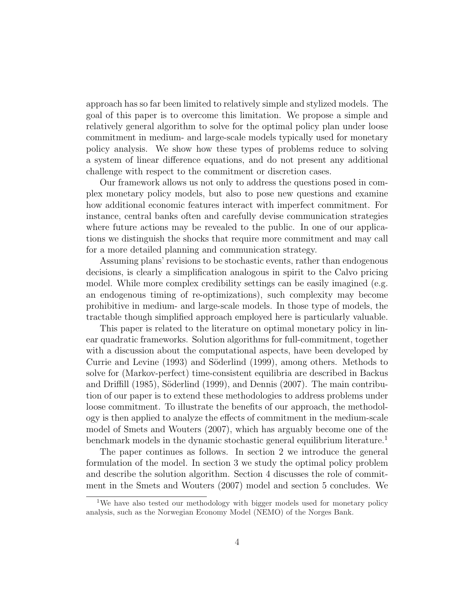approach has so far been limited to relatively simple and stylized models. The goal of this paper is to overcome this limitation. We propose a simple and relatively general algorithm to solve for the optimal policy plan under loose commitment in medium- and large-scale models typically used for monetary policy analysis. We show how these types of problems reduce to solving a system of linear difference equations, and do not present any additional challenge with respect to the commitment or discretion cases.

Our framework allows us not only to address the questions posed in complex monetary policy models, but also to pose new questions and examine how additional economic features interact with imperfect commitment. For instance, central banks often and carefully devise communication strategies where future actions may be revealed to the public. In one of our applications we distinguish the shocks that require more commitment and may call for a more detailed planning and communication strategy.

Assuming plans' revisions to be stochastic events, rather than endogenous decisions, is clearly a simplification analogous in spirit to the Calvo pricing model. While more complex credibility settings can be easily imagined (e.g. an endogenous timing of re-optimizations), such complexity may become prohibitive in medium- and large-scale models. In those type of models, the tractable though simplified approach employed here is particularly valuable.

This paper is related to the literature on optimal monetary policy in linear quadratic frameworks. Solution algorithms for full-commitment, together with a discussion about the computational aspects, have been developed by Currie and Levine (1993) and Söderlind (1999), among others. Methods to solve for (Markov-perfect) time-consistent equilibria are described in Backus and Driffill  $(1985)$ , Söderlind  $(1999)$ , and Dennis  $(2007)$ . The main contribution of our paper is to extend these methodologies to address problems under loose commitment. To illustrate the benefits of our approach, the methodology is then applied to analyze the effects of commitment in the medium-scale model of Smets and Wouters (2007), which has arguably become one of the benchmark models in the dynamic stochastic general equilibrium literature.<sup>1</sup>

The paper continues as follows. In section 2 we introduce the general formulation of the model. In section 3 we study the optimal policy problem and describe the solution algorithm. Section 4 discusses the role of commitment in the Smets and Wouters (2007) model and section 5 concludes. We

<sup>&</sup>lt;sup>1</sup>We have also tested our methodology with bigger models used for monetary policy analysis, such as the Norwegian Economy Model (NEMO) of the Norges Bank.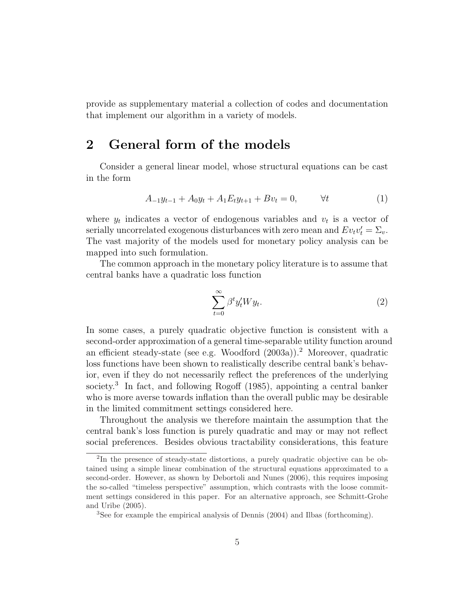provide as supplementary material a collection of codes and documentation that implement our algorithm in a variety of models.

# 2 General form of the models

Consider a general linear model, whose structural equations can be cast in the form

$$
A_{-1}y_{t-1} + A_0y_t + A_1E_ty_{t+1} + Bv_t = 0, \qquad \forall t \tag{1}
$$

where  $y_t$  indicates a vector of endogenous variables and  $v_t$  is a vector of serially uncorrelated exogenous disturbances with zero mean and  $Ev_t v_t' = \Sigma_v$ . The vast majority of the models used for monetary policy analysis can be mapped into such formulation.

The common approach in the monetary policy literature is to assume that central banks have a quadratic loss function

$$
\sum_{t=0}^{\infty} \beta^t y_t^{\prime} W y_t.
$$
 (2)

In some cases, a purely quadratic objective function is consistent with a second-order approximation of a general time-separable utility function around an efficient steady-state (see e.g. Woodford (2003a)).<sup>2</sup> Moreover, quadratic loss functions have been shown to realistically describe central bank's behavior, even if they do not necessarily reflect the preferences of the underlying society.<sup>3</sup> In fact, and following Rogoff (1985), appointing a central banker who is more averse towards inflation than the overall public may be desirable in the limited commitment settings considered here.

Throughout the analysis we therefore maintain the assumption that the central bank's loss function is purely quadratic and may or may not reflect social preferences. Besides obvious tractability considerations, this feature

<sup>2</sup> In the presence of steady-state distortions, a purely quadratic objective can be obtained using a simple linear combination of the structural equations approximated to a second-order. However, as shown by Debortoli and Nunes (2006), this requires imposing the so-called "timeless perspective" assumption, which contrasts with the loose commitment settings considered in this paper. For an alternative approach, see Schmitt-Grohe and Uribe (2005).

<sup>3</sup>See for example the empirical analysis of Dennis (2004) and Ilbas (forthcoming).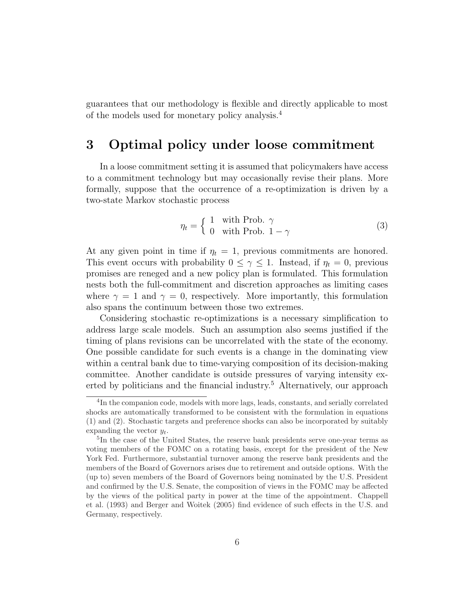guarantees that our methodology is flexible and directly applicable to most of the models used for monetary policy analysis.<sup>4</sup>

### 3 Optimal policy under loose commitment

In a loose commitment setting it is assumed that policymakers have access to a commitment technology but may occasionally revise their plans. More formally, suppose that the occurrence of a re-optimization is driven by a two-state Markov stochastic process

$$
\eta_t = \begin{cases} 1 & \text{with Prob. } \gamma \\ 0 & \text{with Prob. } 1 - \gamma \end{cases}
$$
 (3)

At any given point in time if  $\eta_t = 1$ , previous commitments are honored. This event occurs with probability  $0 \leq \gamma \leq 1$ . Instead, if  $\eta_t = 0$ , previous promises are reneged and a new policy plan is formulated. This formulation nests both the full-commitment and discretion approaches as limiting cases where  $\gamma = 1$  and  $\gamma = 0$ , respectively. More importantly, this formulation also spans the continuum between those two extremes.

Considering stochastic re-optimizations is a necessary simplification to address large scale models. Such an assumption also seems justified if the timing of plans revisions can be uncorrelated with the state of the economy. One possible candidate for such events is a change in the dominating view within a central bank due to time-varying composition of its decision-making committee. Another candidate is outside pressures of varying intensity exerted by politicians and the financial industry.<sup>5</sup> Alternatively, our approach

<sup>&</sup>lt;sup>4</sup>In the companion code, models with more lags, leads, constants, and serially correlated shocks are automatically transformed to be consistent with the formulation in equations (1) and (2). Stochastic targets and preference shocks can also be incorporated by suitably expanding the vector  $y_t$ .

<sup>5</sup> In the case of the United States, the reserve bank presidents serve one-year terms as voting members of the FOMC on a rotating basis, except for the president of the New York Fed. Furthermore, substantial turnover among the reserve bank presidents and the members of the Board of Governors arises due to retirement and outside options. With the (up to) seven members of the Board of Governors being nominated by the U.S. President and confirmed by the U.S. Senate, the composition of views in the FOMC may be affected by the views of the political party in power at the time of the appointment. Chappell et al. (1993) and Berger and Woitek (2005) find evidence of such effects in the U.S. and Germany, respectively.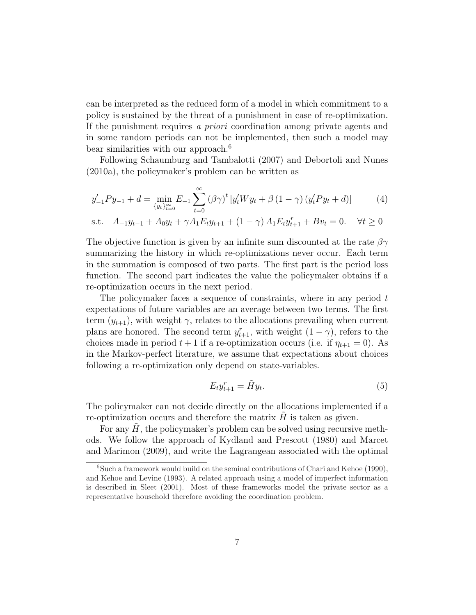can be interpreted as the reduced form of a model in which commitment to a policy is sustained by the threat of a punishment in case of re-optimization. If the punishment requires a priori coordination among private agents and in some random periods can not be implemented, then such a model may bear similarities with our approach.<sup>6</sup>

Following Schaumburg and Tambalotti (2007) and Debortoli and Nunes (2010a), the policymaker's problem can be written as

$$
y'_{-1}Py_{-1} + d = \min_{\{y_t\}_{t=0}^{\infty}} E_{-1} \sum_{t=0}^{\infty} (\beta \gamma)^t \left[ y'_t Wy_t + \beta (1 - \gamma) (y'_t Py_t + d) \right]
$$
(4)

s.t. 
$$
A_{-1}y_{t-1} + A_0y_t + \gamma A_1E_t y_{t+1} + (1 - \gamma) A_1E_t y_{t+1}^r + Bv_t = 0.
$$
  $\forall t \ge 0$ 

The objective function is given by an infinite sum discounted at the rate  $\beta\gamma$ summarizing the history in which re-optimizations never occur. Each term in the summation is composed of two parts. The first part is the period loss function. The second part indicates the value the policymaker obtains if a re-optimization occurs in the next period.

The policymaker faces a sequence of constraints, where in any period  $t$ expectations of future variables are an average between two terms. The first term  $(y_{t+1})$ , with weight  $\gamma$ , relates to the allocations prevailing when current plans are honored. The second term  $y_{t+1}^r$ , with weight  $(1 - \gamma)$ , refers to the choices made in period  $t + 1$  if a re-optimization occurs (i.e. if  $\eta_{t+1} = 0$ ). As in the Markov-perfect literature, we assume that expectations about choices following a re-optimization only depend on state-variables.

$$
E_t y_{t+1}^r = \tilde{H} y_t. \tag{5}
$$

The policymaker can not decide directly on the allocations implemented if a re-optimization occurs and therefore the matrix  $\hat{H}$  is taken as given.

For any  $H$ , the policymaker's problem can be solved using recursive methods. We follow the approach of Kydland and Prescott (1980) and Marcet and Marimon (2009), and write the Lagrangean associated with the optimal

<sup>&</sup>lt;sup>6</sup>Such a framework would build on the seminal contributions of Chari and Kehoe (1990), and Kehoe and Levine (1993). A related approach using a model of imperfect information is described in Sleet (2001). Most of these frameworks model the private sector as a representative household therefore avoiding the coordination problem.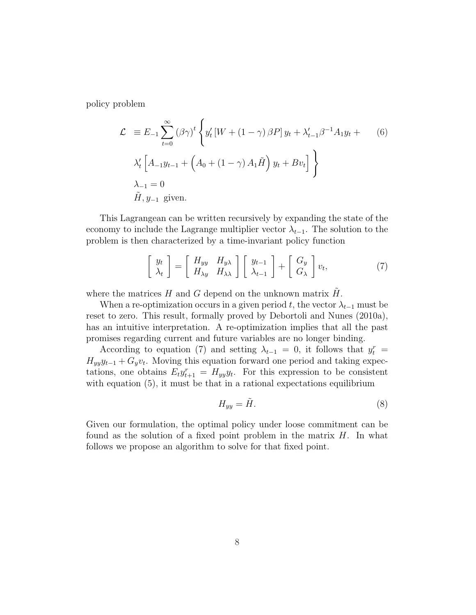policy problem

$$
\mathcal{L} \equiv E_{-1} \sum_{t=0}^{\infty} (\beta \gamma)^{t} \left\{ y_{t}^{\prime} \left[ W + (1 - \gamma) \beta P \right] y_{t} + \lambda_{t-1}^{\prime} \beta^{-1} A_{1} y_{t} + \delta \right\}
$$
\n
$$
\lambda_{t}^{\prime} \left[ A_{-1} y_{t-1} + \left( A_{0} + (1 - \gamma) A_{1} \tilde{H} \right) y_{t} + B v_{t} \right] \right\}
$$
\n
$$
\lambda_{-1} = 0
$$
\n
$$
\tilde{H}, y_{-1} \text{ given.}
$$
\n(6)

This Lagrangean can be written recursively by expanding the state of the economy to include the Lagrange multiplier vector  $\lambda_{t-1}$ . The solution to the problem is then characterized by a time-invariant policy function

$$
\begin{bmatrix} y_t \\ \lambda_t \end{bmatrix} = \begin{bmatrix} H_{yy} & H_{y\lambda} \\ H_{\lambda y} & H_{\lambda \lambda} \end{bmatrix} \begin{bmatrix} y_{t-1} \\ \lambda_{t-1} \end{bmatrix} + \begin{bmatrix} G_y \\ G_{\lambda} \end{bmatrix} v_t,
$$
 (7)

where the matrices H and G depend on the unknown matrix  $\tilde{H}$ .

When a re-optimization occurs in a given period t, the vector  $\lambda_{t-1}$  must be reset to zero. This result, formally proved by Debortoli and Nunes (2010a), has an intuitive interpretation. A re-optimization implies that all the past promises regarding current and future variables are no longer binding.

According to equation (7) and setting  $\lambda_{t-1} = 0$ , it follows that  $y_t^r =$  $H_{yy}y_{t-1} + G_yv_t$ . Moving this equation forward one period and taking expectations, one obtains  $E_t y_{t+1}^r = H_{yy} y_t$ . For this expression to be consistent with equation  $(5)$ , it must be that in a rational expectations equilibrium

$$
H_{yy} = \tilde{H}.\tag{8}
$$

Given our formulation, the optimal policy under loose commitment can be found as the solution of a fixed point problem in the matrix  $H$ . In what follows we propose an algorithm to solve for that fixed point.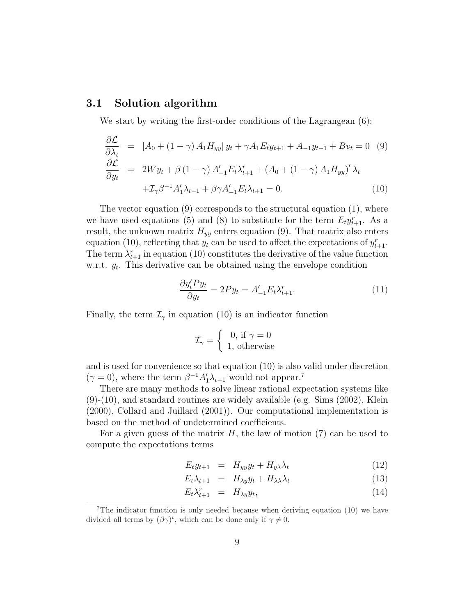#### 3.1 Solution algorithm

We start by writing the first-order conditions of the Lagrangean (6):

$$
\frac{\partial \mathcal{L}}{\partial \lambda_t} = [A_0 + (1 - \gamma) A_1 H_{yy}] y_t + \gamma A_1 E_t y_{t+1} + A_{-1} y_{t-1} + B v_t = 0 \quad (9)
$$
  
\n
$$
\frac{\partial \mathcal{L}}{\partial y_t} = 2Wy_t + \beta (1 - \gamma) A'_{-1} E_t \lambda_{t+1}^r + (A_0 + (1 - \gamma) A_1 H_{yy})' \lambda_t + \mathcal{I}_{\gamma} \beta^{-1} A'_1 \lambda_{t-1} + \beta \gamma A'_{-1} E_t \lambda_{t+1} = 0. \tag{10}
$$

The vector equation (9) corresponds to the structural equation (1), where we have used equations (5) and (8) to substitute for the term  $E_t y_{t+1}^r$ . As a result, the unknown matrix  $H_{yy}$  enters equation (9). That matrix also enters equation (10), reflecting that  $y_t$  can be used to affect the expectations of  $y_{t+1}^r$ . The term  $\lambda_{t+1}^r$  in equation (10) constitutes the derivative of the value function w.r.t.  $y_t$ . This derivative can be obtained using the envelope condition

$$
\frac{\partial y_t' P y_t}{\partial y_t} = 2P y_t = A_{-1}' E_t \lambda_{t+1}^r. \tag{11}
$$

Finally, the term  $\mathcal{I}_{\gamma}$  in equation (10) is an indicator function

$$
\mathcal{I}_{\gamma} = \begin{cases} 0, \text{ if } \gamma = 0\\ 1, \text{ otherwise} \end{cases}
$$

and is used for convenience so that equation (10) is also valid under discretion  $(\gamma = 0)$ , where the term  $\beta^{-1} A_1' \lambda_{t-1}$  would not appear.<sup>7</sup>

There are many methods to solve linear rational expectation systems like (9)-(10), and standard routines are widely available (e.g. Sims (2002), Klein (2000), Collard and Juillard (2001)). Our computational implementation is based on the method of undetermined coefficients.

For a given guess of the matrix  $H$ , the law of motion (7) can be used to compute the expectations terms

$$
E_t y_{t+1} = H_{yy} y_t + H_{y\lambda} \lambda_t \tag{12}
$$

$$
E_t \lambda_{t+1} = H_{\lambda y} y_t + H_{\lambda \lambda} \lambda_t \tag{13}
$$

$$
E_t \lambda_{t+1}^r = H_{\lambda y} y_t, \tag{14}
$$

<sup>&</sup>lt;sup>7</sup>The indicator function is only needed because when deriving equation  $(10)$  we have divided all terms by  $(\beta \gamma)^t$ , which can be done only if  $\gamma \neq 0$ .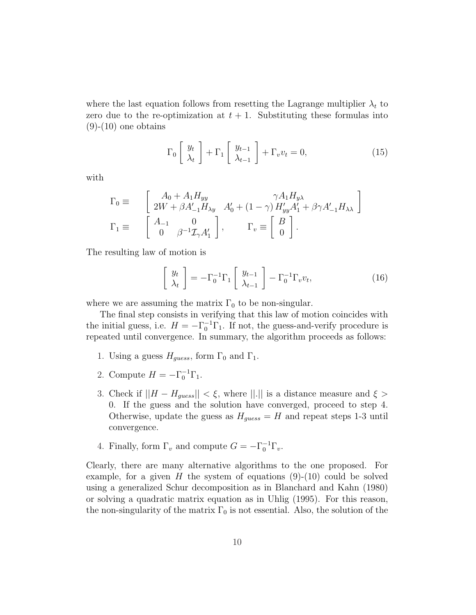where the last equation follows from resetting the Lagrange multiplier  $\lambda_t$  to zero due to the re-optimization at  $t + 1$ . Substituting these formulas into  $(9)-(10)$  one obtains

$$
\Gamma_0 \left[ \begin{array}{c} y_t \\ \lambda_t \end{array} \right] + \Gamma_1 \left[ \begin{array}{c} y_{t-1} \\ \lambda_{t-1} \end{array} \right] + \Gamma_v v_t = 0, \tag{15}
$$

with

$$
\begin{array}{ll} \Gamma_0 \equiv & \left[ \begin{array}{cc} A_0 + A_1 H_{yy} & \gamma A_1 H_{y\lambda} \\ 2W + \beta A_{-1}' H_{\lambda y} & A_0' + \left( 1 - \gamma \right) H_{yy}' A_1' + \beta \gamma A_{-1}' H_{\lambda \lambda} \end{array} \right] \\ \Gamma_1 \equiv & \left[ \begin{array}{cc} A_{-1} & 0 \\ 0 & \beta^{-1} \mathcal{I}_{\gamma} A_1' \end{array} \right], \qquad \Gamma_v \equiv \left[ \begin{array}{c} B \\ 0 \end{array} \right]. \end{array}
$$

The resulting law of motion is

$$
\begin{bmatrix} y_t \\ \lambda_t \end{bmatrix} = -\Gamma_0^{-1} \Gamma_1 \begin{bmatrix} y_{t-1} \\ \lambda_{t-1} \end{bmatrix} - \Gamma_0^{-1} \Gamma_v v_t, \qquad (16)
$$

where we are assuming the matrix  $\Gamma_0$  to be non-singular.

The final step consists in verifying that this law of motion coincides with the initial guess, i.e.  $H = -\Gamma_0^{-1} \Gamma_1$ . If not, the guess-and-verify procedure is repeated until convergence. In summary, the algorithm proceeds as follows:

- 1. Using a guess  $H_{guess}$ , form  $\Gamma_0$  and  $\Gamma_1$ .
- 2. Compute  $H = -\Gamma_0^{-1} \Gamma_1$ .
- 3. Check if  $||H H_{guess}|| < \xi$ , where  $||.||$  is a distance measure and  $\xi >$ 0. If the guess and the solution have converged, proceed to step 4. Otherwise, update the guess as  $H_{guess} = H$  and repeat steps 1-3 until convergence.
- 4. Finally, form  $\Gamma_v$  and compute  $G = -\Gamma_0^{-1} \Gamma_v$ .

Clearly, there are many alternative algorithms to the one proposed. For example, for a given H the system of equations  $(9)-(10)$  could be solved using a generalized Schur decomposition as in Blanchard and Kahn (1980) or solving a quadratic matrix equation as in Uhlig (1995). For this reason, the non-singularity of the matrix  $\Gamma_0$  is not essential. Also, the solution of the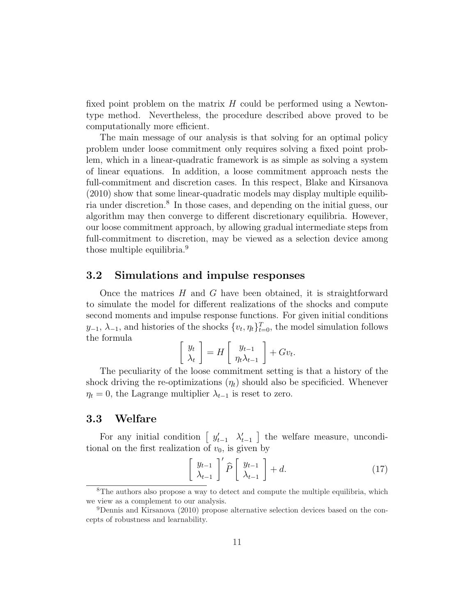fixed point problem on the matrix  $H$  could be performed using a Newtontype method. Nevertheless, the procedure described above proved to be computationally more efficient.

The main message of our analysis is that solving for an optimal policy problem under loose commitment only requires solving a fixed point problem, which in a linear-quadratic framework is as simple as solving a system of linear equations. In addition, a loose commitment approach nests the full-commitment and discretion cases. In this respect, Blake and Kirsanova (2010) show that some linear-quadratic models may display multiple equilibria under discretion.<sup>8</sup> In those cases, and depending on the initial guess, our algorithm may then converge to different discretionary equilibria. However, our loose commitment approach, by allowing gradual intermediate steps from full-commitment to discretion, may be viewed as a selection device among those multiple equilibria.<sup>9</sup>

#### 3.2 Simulations and impulse responses

Once the matrices  $H$  and  $G$  have been obtained, it is straightforward to simulate the model for different realizations of the shocks and compute second moments and impulse response functions. For given initial conditions  $y_{-1}, \lambda_{-1}$ , and histories of the shocks  $\{v_t, \eta_t\}_{t=0}^T$ , the model simulation follows the formula ·  $\overline{a}$ ·  $\overline{a}$ 

$$
\begin{bmatrix} y_t \\ \lambda_t \end{bmatrix} = H \begin{bmatrix} y_{t-1} \\ \eta_t \lambda_{t-1} \end{bmatrix} + Gv_t.
$$

The peculiarity of the loose commitment setting is that a history of the shock driving the re-optimizations  $(\eta_t)$  should also be specificied. Whenever  $\eta_t = 0$ , the Lagrange multiplier  $\lambda_{t-1}$  is reset to zero.

#### 3.3 Welfare

For any initial condition  $\left[ y_{t-1}^{\prime} \quad \lambda_{t-1}^{\prime} \right]$ ¤ the welfare measure, unconditional on the first realization of  $v_0$ , is given by

$$
\left[\begin{array}{c} y_{t-1} \\ \lambda_{t-1} \end{array}\right]' \hat{P} \left[\begin{array}{c} y_{t-1} \\ \lambda_{t-1} \end{array}\right] + d. \tag{17}
$$

<sup>8</sup>The authors also propose a way to detect and compute the multiple equilibria, which we view as a complement to our analysis.

<sup>9</sup>Dennis and Kirsanova (2010) propose alternative selection devices based on the concepts of robustness and learnability.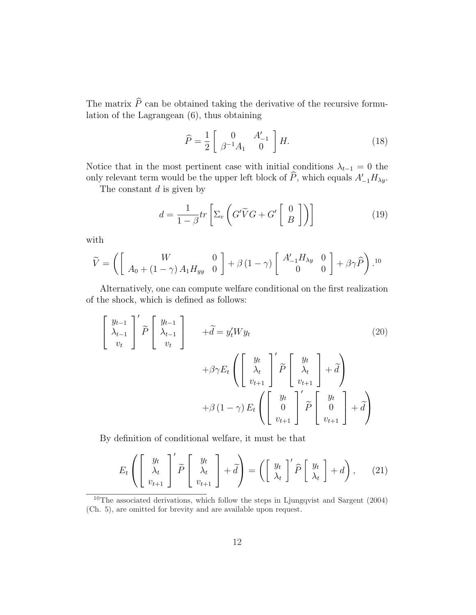The matrix  $\widehat{P}$  can be obtained taking the derivative of the recursive formulation of the Lagrangean (6), thus obtaining

$$
\widehat{P} = \frac{1}{2} \begin{bmatrix} 0 & A'_{-1} \\ \beta^{-1} A_1 & 0 \end{bmatrix} H.
$$
 (18)

Notice that in the most pertinent case with initial conditions  $\lambda_{t-1} = 0$  the only relevant term would be the upper left block of  $\widehat{P}$ , which equals  $A'_{-1}H_{\lambda y}$ .

The constant  $d$  is given by

$$
d = \frac{1}{1 - \beta} tr \left[ \Sigma_v \left( G' \tilde{V} G + G' \begin{bmatrix} 0 \\ B \end{bmatrix} \right) \right]
$$
 (19)

with

$$
\widetilde{V} = \left( \begin{bmatrix} W & 0 \\ A_0 + (1 - \gamma) A_1 H_{yy} & 0 \end{bmatrix} + \beta (1 - \gamma) \begin{bmatrix} A'_{-1} H_{\lambda y} & 0 \\ 0 & 0 \end{bmatrix} + \beta \gamma \widehat{P} \right).^{10}
$$

Alternatively, one can compute welfare conditional on the first realization of the shock, which is defined as follows:

$$
\begin{bmatrix}\ny_{t-1} \\
\lambda_{t-1} \\
v_t\n\end{bmatrix}' \widetilde{P} \begin{bmatrix}\ny_{t-1} \\
\lambda_{t-1} \\
v_t\n\end{bmatrix} + \widetilde{d} = y'_t W y_t\n\tag{20}
$$
\n
$$
+ \beta \gamma E_t \left( \begin{bmatrix}\ny_t \\
\lambda_t \\
v_{t+1}\n\end{bmatrix}' \widetilde{P} \begin{bmatrix}\ny_t \\
\lambda_t \\
v_{t+1}\n\end{bmatrix} + \widetilde{d} \right)
$$
\n
$$
+ \beta (1 - \gamma) E_t \left( \begin{bmatrix}\ny_t \\
0 \\
v_{t+1}\n\end{bmatrix}' \widetilde{P} \begin{bmatrix}\ny_t \\
0 \\
v_{t+1}\n\end{bmatrix} + \widetilde{d} \right)
$$

By definition of conditional welfare, it must be that

$$
E_t\left(\left[\begin{array}{c}y_t\\ \lambda_t\\ v_{t+1}\end{array}\right]^{\prime}\widetilde{P}\left[\begin{array}{c}y_t\\ \lambda_t\\ v_{t+1}\end{array}\right]+\widetilde{d}\right)=\left(\left[\begin{array}{c}y_t\\ \lambda_t\end{array}\right]^{\prime}\widehat{P}\left[\begin{array}{c}y_t\\ \lambda_t\end{array}\right]+d\right),\qquad(21)
$$

<sup>10</sup>The associated derivations, which follow the steps in Ljungqvist and Sargent (2004) (Ch. 5), are omitted for brevity and are available upon request.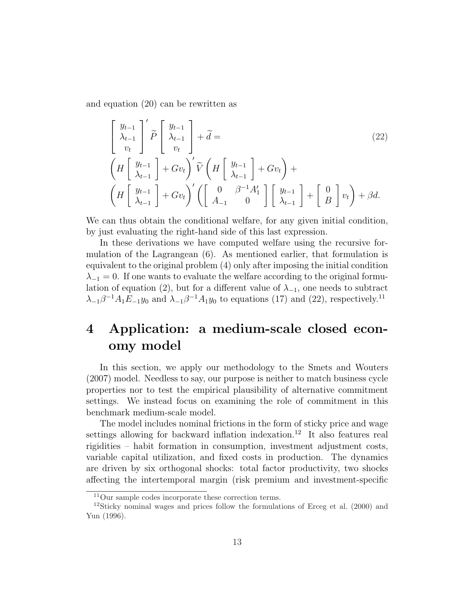and equation (20) can be rewritten as

$$
\begin{aligned}\n\begin{bmatrix}\ny_{t-1} \\
\lambda_{t-1} \\
v_t\n\end{bmatrix}' \widetilde{P} \begin{bmatrix}\ny_{t-1} \\
\lambda_{t-1} \\
v_t\n\end{bmatrix} + \widetilde{d} =\n\begin{pmatrix}\nH \begin{bmatrix}\ny_{t-1} \\
\lambda_{t-1}\n\end{bmatrix} + Gv_t\n\end{pmatrix}' \widetilde{V} \left(H \begin{bmatrix}\ny_{t-1} \\
\lambda_{t-1}\n\end{bmatrix} + Gv_t\n\end{pmatrix} +\n\begin{pmatrix}\nH \begin{bmatrix}\ny_{t-1} \\
\lambda_{t-1}\n\end{bmatrix} + Gv_t\n\end{pmatrix}' \left(\begin{bmatrix}\n0 & \beta^{-1}A_1' \\
A_{-1} & 0\n\end{bmatrix} \begin{bmatrix}\ny_{t-1} \\
\lambda_{t-1}\n\end{bmatrix} + \begin{bmatrix}\n0 \\
B\n\end{bmatrix} v_t\n\end{aligned}\right) + \beta d.
$$
\n(22)

We can thus obtain the conditional welfare, for any given initial condition, by just evaluating the right-hand side of this last expression.

In these derivations we have computed welfare using the recursive formulation of the Lagrangean (6). As mentioned earlier, that formulation is equivalent to the original problem (4) only after imposing the initial condition  $\lambda_{-1} = 0$ . If one wants to evaluate the welfare according to the original formulation of equation (2), but for a different value of  $\lambda_{-1}$ , one needs to subtract  $\lambda_{-1}\beta^{-1}A_1E_{-1}y_0$  and  $\lambda_{-1}\beta^{-1}A_1y_0$  to equations (17) and (22), respectively.<sup>11</sup>

# 4 Application: a medium-scale closed economy model

In this section, we apply our methodology to the Smets and Wouters (2007) model. Needless to say, our purpose is neither to match business cycle properties nor to test the empirical plausibility of alternative commitment settings. We instead focus on examining the role of commitment in this benchmark medium-scale model.

The model includes nominal frictions in the form of sticky price and wage settings allowing for backward inflation indexation.<sup>12</sup> It also features real rigidities – habit formation in consumption, investment adjustment costs, variable capital utilization, and fixed costs in production. The dynamics are driven by six orthogonal shocks: total factor productivity, two shocks affecting the intertemporal margin (risk premium and investment-specific

<sup>11</sup>Our sample codes incorporate these correction terms.

<sup>12</sup>Sticky nominal wages and prices follow the formulations of Erceg et al. (2000) and Yun (1996).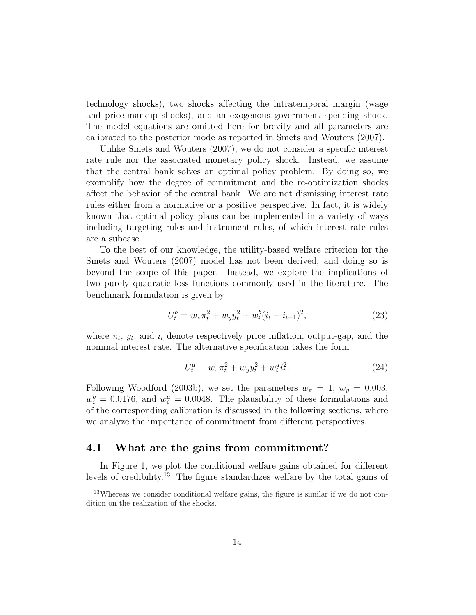technology shocks), two shocks affecting the intratemporal margin (wage and price-markup shocks), and an exogenous government spending shock. The model equations are omitted here for brevity and all parameters are calibrated to the posterior mode as reported in Smets and Wouters (2007).

Unlike Smets and Wouters (2007), we do not consider a specific interest rate rule nor the associated monetary policy shock. Instead, we assume that the central bank solves an optimal policy problem. By doing so, we exemplify how the degree of commitment and the re-optimization shocks affect the behavior of the central bank. We are not dismissing interest rate rules either from a normative or a positive perspective. In fact, it is widely known that optimal policy plans can be implemented in a variety of ways including targeting rules and instrument rules, of which interest rate rules are a subcase.

To the best of our knowledge, the utility-based welfare criterion for the Smets and Wouters (2007) model has not been derived, and doing so is beyond the scope of this paper. Instead, we explore the implications of two purely quadratic loss functions commonly used in the literature. The benchmark formulation is given by

$$
U_t^b = w_\pi \pi_t^2 + w_y y_t^2 + w_i^b (i_t - i_{t-1})^2,
$$
\n(23)

where  $\pi_t$ ,  $y_t$ , and  $i_t$  denote respectively price inflation, output-gap, and the nominal interest rate. The alternative specification takes the form

$$
U_t^a = w_\pi \pi_t^2 + w_y y_t^2 + w_i^a i_t^2. \tag{24}
$$

Following Woodford (2003b), we set the parameters  $w_{\pi} = 1, w_y = 0.003$ ,  $w_i^b = 0.0176$ , and  $w_i^a = 0.0048$ . The plausibility of these formulations and of the corresponding calibration is discussed in the following sections, where we analyze the importance of commitment from different perspectives.

#### 4.1 What are the gains from commitment?

In Figure 1, we plot the conditional welfare gains obtained for different levels of credibility.<sup>13</sup> The figure standardizes welfare by the total gains of

<sup>13</sup>Whereas we consider conditional welfare gains, the figure is similar if we do not condition on the realization of the shocks.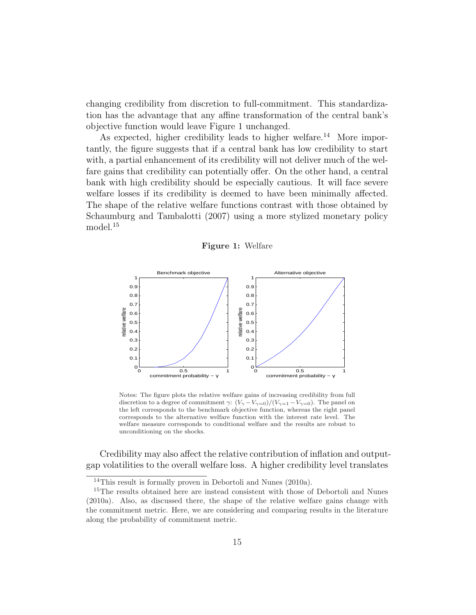changing credibility from discretion to full-commitment. This standardization has the advantage that any affine transformation of the central bank's objective function would leave Figure 1 unchanged.

As expected, higher credibility leads to higher welfare.<sup>14</sup> More importantly, the figure suggests that if a central bank has low credibility to start with, a partial enhancement of its credibility will not deliver much of the welfare gains that credibility can potentially offer. On the other hand, a central bank with high credibility should be especially cautious. It will face severe welfare losses if its credibility is deemed to have been minimally affected. The shape of the relative welfare functions contrast with those obtained by Schaumburg and Tambalotti (2007) using a more stylized monetary policy model.<sup>15</sup>

Figure 1: Welfare



Notes: The figure plots the relative welfare gains of increasing credibility from full discretion to a degree of commitment  $\gamma: (V_{\gamma}-V_{\gamma=0})/(V_{\gamma=1}-V_{\gamma=0})$ . The panel on the left corresponds to the benchmark objective function, whereas the right panel corresponds to the alternative welfare function with the interest rate level. The welfare measure corresponds to conditional welfare and the results are robust to unconditioning on the shocks.

Credibility may also affect the relative contribution of inflation and outputgap volatilities to the overall welfare loss. A higher credibility level translates

<sup>&</sup>lt;sup>14</sup>This result is formally proven in Debortoli and Nunes (2010a).

<sup>&</sup>lt;sup>15</sup>The results obtained here are instead consistent with those of Debortoli and Nunes (2010a). Also, as discussed there, the shape of the relative welfare gains change with the commitment metric. Here, we are considering and comparing results in the literature along the probability of commitment metric.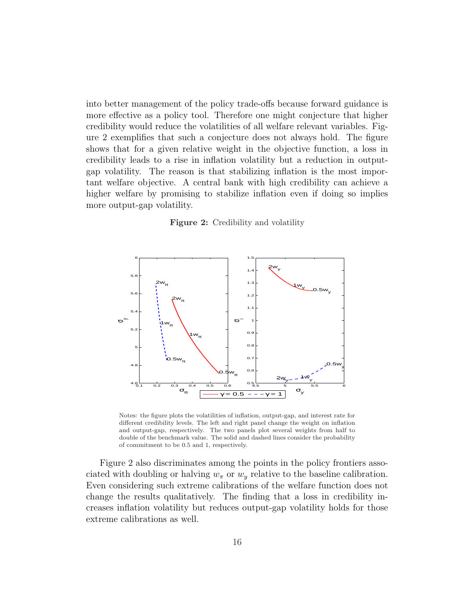into better management of the policy trade-offs because forward guidance is more effective as a policy tool. Therefore one might conjecture that higher credibility would reduce the volatilities of all welfare relevant variables. Figure 2 exemplifies that such a conjecture does not always hold. The figure shows that for a given relative weight in the objective function, a loss in credibility leads to a rise in inflation volatility but a reduction in outputgap volatility. The reason is that stabilizing inflation is the most important welfare objective. A central bank with high credibility can achieve a higher welfare by promising to stabilize inflation even if doing so implies more output-gap volatility.

#### Figure 2: Credibility and volatility



Notes: the figure plots the volatilities of inflation, output-gap, and interest rate for different credibility levels. The left and right panel change the weight on inflation and output-gap, respectively. The two panels plot several weights from half to double of the benchmark value. The solid and dashed lines consider the probability of commitment to be 0.5 and 1, respectively.

Figure 2 also discriminates among the points in the policy frontiers associated with doubling or halving  $w_{\pi}$  or  $w_y$  relative to the baseline calibration. Even considering such extreme calibrations of the welfare function does not change the results qualitatively. The finding that a loss in credibility increases inflation volatility but reduces output-gap volatility holds for those extreme calibrations as well.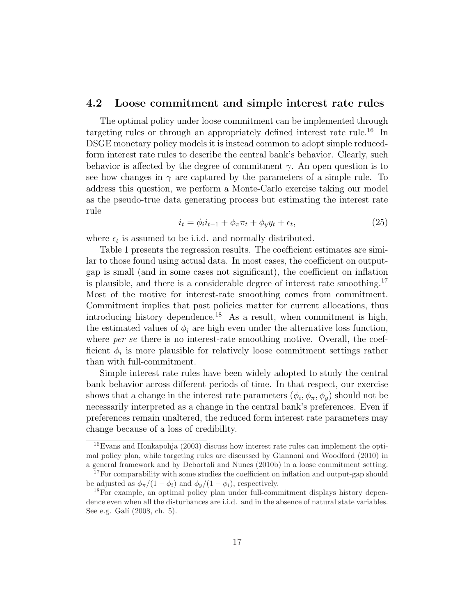#### 4.2 Loose commitment and simple interest rate rules

The optimal policy under loose commitment can be implemented through targeting rules or through an appropriately defined interest rate rule.<sup>16</sup> In DSGE monetary policy models it is instead common to adopt simple reducedform interest rate rules to describe the central bank's behavior. Clearly, such behavior is affected by the degree of commitment  $\gamma$ . An open question is to see how changes in  $\gamma$  are captured by the parameters of a simple rule. To address this question, we perform a Monte-Carlo exercise taking our model as the pseudo-true data generating process but estimating the interest rate rule

$$
i_t = \phi_i i_{t-1} + \phi_\pi \pi_t + \phi_y y_t + \epsilon_t,\tag{25}
$$

where  $\epsilon_t$  is assumed to be i.i.d. and normally distributed.

Table 1 presents the regression results. The coefficient estimates are similar to those found using actual data. In most cases, the coefficient on outputgap is small (and in some cases not significant), the coefficient on inflation is plausible, and there is a considerable degree of interest rate smoothing.<sup>17</sup> Most of the motive for interest-rate smoothing comes from commitment. Commitment implies that past policies matter for current allocations, thus introducing history dependence.<sup>18</sup> As a result, when commitment is high, the estimated values of  $\phi_i$  are high even under the alternative loss function, where *per se* there is no interest-rate smoothing motive. Overall, the coefficient  $\phi_i$  is more plausible for relatively loose commitment settings rather than with full-commitment.

Simple interest rate rules have been widely adopted to study the central bank behavior across different periods of time. In that respect, our exercise shows that a change in the interest rate parameters  $(\phi_i, \phi_\pi, \phi_y)$  should not be necessarily interpreted as a change in the central bank's preferences. Even if preferences remain unaltered, the reduced form interest rate parameters may change because of a loss of credibility.

 $16$ Evans and Honkapohja (2003) discuss how interest rate rules can implement the optimal policy plan, while targeting rules are discussed by Giannoni and Woodford (2010) in a general framework and by Debortoli and Nunes (2010b) in a loose commitment setting.

<sup>&</sup>lt;sup>17</sup>For comparability with some studies the coefficient on inflation and output-gap should be adjusted as  $\phi_{\pi}/(1-\phi_i)$  and  $\phi_{\pi}/(1-\phi_i)$ , respectively.

<sup>18</sup>For example, an optimal policy plan under full-commitment displays history dependence even when all the disturbances are i.i.d. and in the absence of natural state variables. See e.g. Galí (2008, ch. 5).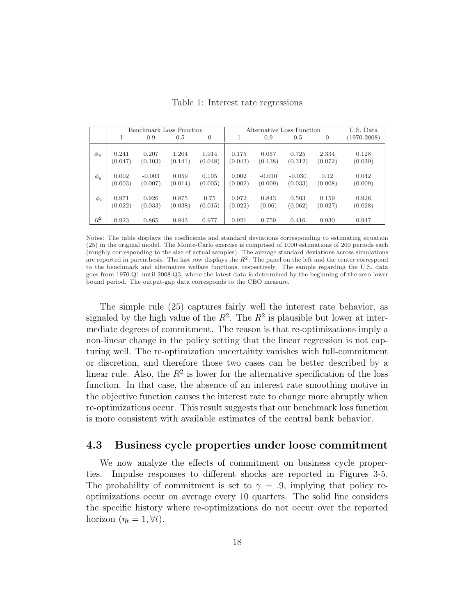|              | Benchmark Loss Function |          |         |                | Alternative Loss Function |          |          |                | U.S. Data       |
|--------------|-------------------------|----------|---------|----------------|---------------------------|----------|----------|----------------|-----------------|
|              | 1                       | 0.9      | 0.5     | $\overline{0}$ | Ŧ.                        | 0.9      | 0.5      | $\overline{0}$ | $(1970 - 2008)$ |
| $\phi_{\pi}$ | 0.241                   | 0.207    | 1.204   | 1.914          | 0.175                     | 0.057    | 0.725    | 2.334          | 0.128           |
|              | (0.047)                 | (0.103)  | (0.141) | (0.048)        | (0.043)                   | (0.138)  | (0.312)  | (0.072)        | (0.039)         |
| $\phi_y$     | 0.002                   | $-0.003$ | 0.059   | 0.105          | 0.002                     | $-0.010$ | $-0.030$ | 0.12           | 0.042           |
|              | (0.003)                 | (0.007)  | (0.014) | (0.005)        | (0.002)                   | (0.009)  | (0.033)  | (0.008)        | (0.009)         |
| $\phi_i$     | 0.971                   | 0.926    | 0.875   | 0.75           | 0.972                     | 0.843    | 0.503    | 0.159          | 0.926           |
|              | (0.022)                 | (0.033)  | (0.038) | (0.015)        | (0.022)                   | (0.06)   | (0.062)  | (0.027)        | (0.028)         |
| $R^2$        | 0.923                   | 0.865    | 0.843   | 0.977          | 0.921                     | 0.759    | 0.416    | 0.930          | 0.947           |

Table 1: Interest rate regressions

Notes: The table displays the coefficients and standard deviations corresponding to estimating equation (25) in the original model. The Monte-Carlo exercise is comprised of 1000 estimations of 200 periods each (roughly corresponding to the size of actual samples). The average standard deviations across simulations are reported in parenthesis. The last row displays the  $R<sup>2</sup>$ . The panel on the left and the center correspond to the benchmark and alternative welfare functions, respectively. The sample regarding the U.S. data goes from 1970:Q1 until 2008:Q3, where the latest data is determined by the beginning of the zero lower bound period. The output-gap data corresponds to the CBO measure.

The simple rule (25) captures fairly well the interest rate behavior, as signaled by the high value of the  $R^2$ . The  $R^2$  is plausible but lower at intermediate degrees of commitment. The reason is that re-optimizations imply a non-linear change in the policy setting that the linear regression is not capturing well. The re-optimization uncertainty vanishes with full-commitment or discretion, and therefore those two cases can be better described by a linear rule. Also, the  $R^2$  is lower for the alternative specification of the loss function. In that case, the absence of an interest rate smoothing motive in the objective function causes the interest rate to change more abruptly when re-optimizations occur. This result suggests that our benchmark loss function is more consistent with available estimates of the central bank behavior.

#### 4.3 Business cycle properties under loose commitment

We now analyze the effects of commitment on business cycle properties. Impulse responses to different shocks are reported in Figures 3-5. The probability of commitment is set to  $\gamma = .9$ , implying that policy reoptimizations occur on average every 10 quarters. The solid line considers the specific history where re-optimizations do not occur over the reported horizon  $(\eta_t = 1, \forall t)$ .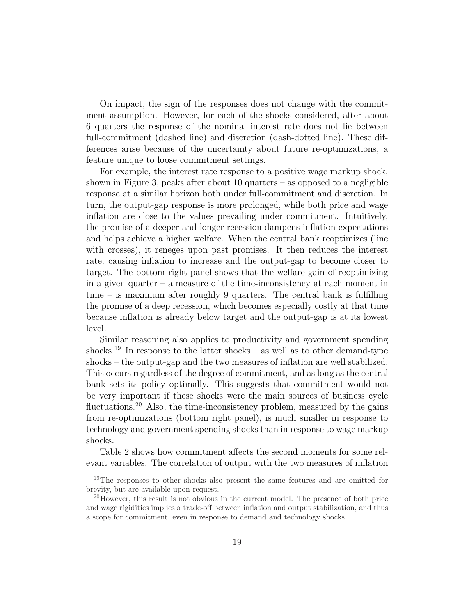On impact, the sign of the responses does not change with the commitment assumption. However, for each of the shocks considered, after about 6 quarters the response of the nominal interest rate does not lie between full-commitment (dashed line) and discretion (dash-dotted line). These differences arise because of the uncertainty about future re-optimizations, a feature unique to loose commitment settings.

For example, the interest rate response to a positive wage markup shock, shown in Figure 3, peaks after about 10 quarters – as opposed to a negligible response at a similar horizon both under full-commitment and discretion. In turn, the output-gap response is more prolonged, while both price and wage inflation are close to the values prevailing under commitment. Intuitively, the promise of a deeper and longer recession dampens inflation expectations and helps achieve a higher welfare. When the central bank reoptimizes (line with crosses), it reneges upon past promises. It then reduces the interest rate, causing inflation to increase and the output-gap to become closer to target. The bottom right panel shows that the welfare gain of reoptimizing in a given quarter – a measure of the time-inconsistency at each moment in time – is maximum after roughly 9 quarters. The central bank is fulfilling the promise of a deep recession, which becomes especially costly at that time because inflation is already below target and the output-gap is at its lowest level.

Similar reasoning also applies to productivity and government spending shocks.<sup>19</sup> In response to the latter shocks – as well as to other demand-type shocks – the output-gap and the two measures of inflation are well stabilized. This occurs regardless of the degree of commitment, and as long as the central bank sets its policy optimally. This suggests that commitment would not be very important if these shocks were the main sources of business cycle fluctuations.<sup>20</sup> Also, the time-inconsistency problem, measured by the gains from re-optimizations (bottom right panel), is much smaller in response to technology and government spending shocks than in response to wage markup shocks.

Table 2 shows how commitment affects the second moments for some relevant variables. The correlation of output with the two measures of inflation

<sup>19</sup>The responses to other shocks also present the same features and are omitted for brevity, but are available upon request.

<sup>&</sup>lt;sup>20</sup>However, this result is not obvious in the current model. The presence of both price and wage rigidities implies a trade-off between inflation and output stabilization, and thus a scope for commitment, even in response to demand and technology shocks.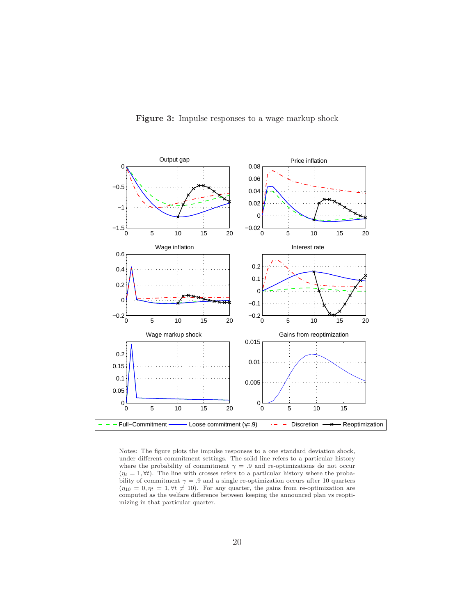

Figure 3: Impulse responses to a wage markup shock

Notes: The figure plots the impulse responses to a one standard deviation shock, under different commitment settings. The solid line refers to a particular history where the probability of commitment  $\gamma = .9$  and re-optimizations do not occur  $(\eta_t = 1, \forall t)$ . The line with crosses refers to a particular history where the probability of commitment  $\gamma = .9$  and a single re-optimization occurs after 10 quarters  $(\eta_{10} = 0, \eta_t = 1, \forall t \neq 10)$ . For any quarter, the gains from re-optimization are computed as the welfare difference between keeping the announced plan vs reoptimizing in that particular quarter.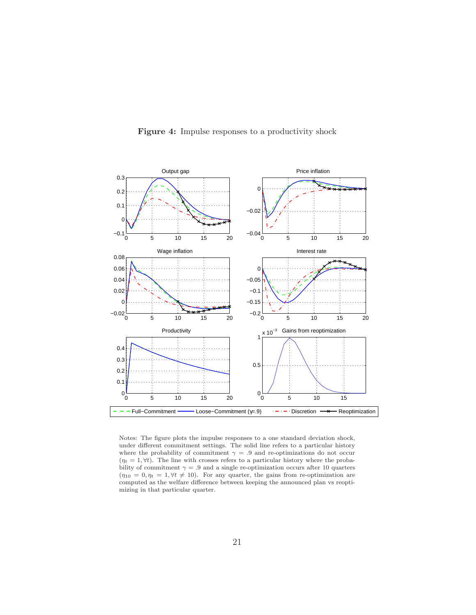

Figure 4: Impulse responses to a productivity shock

Notes: The figure plots the impulse responses to a one standard deviation shock, under different commitment settings. The solid line refers to a particular history where the probability of commitment  $\gamma = .9$  and re-optimizations do not occur  $(\eta_t = 1, \forall t)$ . The line with crosses refers to a particular history where the probability of commitment  $\gamma = .9$  and a single re-optimization occurs after 10 quarters  $(\eta_{10} = 0, \eta_t = 1, \forall t \neq 10)$ . For any quarter, the gains from re-optimization are computed as the welfare difference between keeping the announced plan vs reoptimizing in that particular quarter.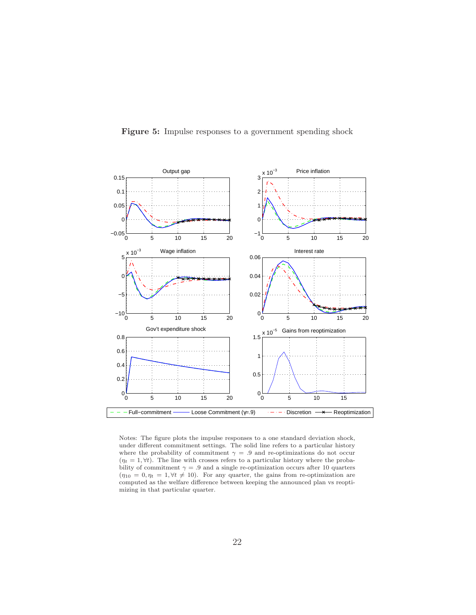

Figure 5: Impulse responses to a government spending shock

Notes: The figure plots the impulse responses to a one standard deviation shock, under different commitment settings. The solid line refers to a particular history where the probability of commitment  $\gamma = .9$  and re-optimizations do not occur  $(\eta_t = 1, \forall t)$ . The line with crosses refers to a particular history where the probability of commitment  $\gamma = .9$  and a single re-optimization occurs after 10 quarters  $(\eta_{10} = 0, \eta_t = 1, \forall t \neq 10)$ . For any quarter, the gains from re-optimization are computed as the welfare difference between keeping the announced plan vs reoptimizing in that particular quarter.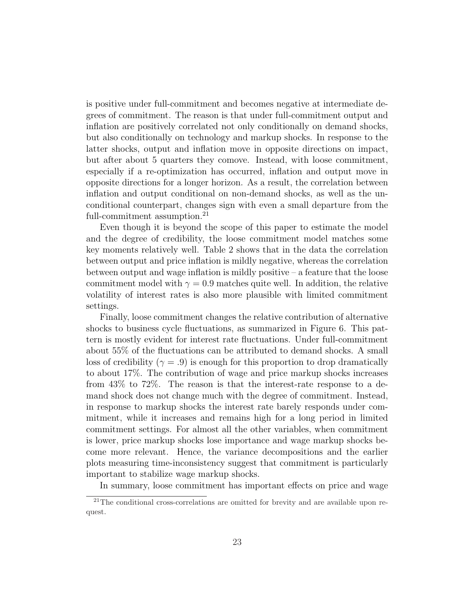is positive under full-commitment and becomes negative at intermediate degrees of commitment. The reason is that under full-commitment output and inflation are positively correlated not only conditionally on demand shocks, but also conditionally on technology and markup shocks. In response to the latter shocks, output and inflation move in opposite directions on impact, but after about 5 quarters they comove. Instead, with loose commitment, especially if a re-optimization has occurred, inflation and output move in opposite directions for a longer horizon. As a result, the correlation between inflation and output conditional on non-demand shocks, as well as the unconditional counterpart, changes sign with even a small departure from the full-commitment assumption.<sup>21</sup>

Even though it is beyond the scope of this paper to estimate the model and the degree of credibility, the loose commitment model matches some key moments relatively well. Table 2 shows that in the data the correlation between output and price inflation is mildly negative, whereas the correlation between output and wage inflation is mildly positive  $-$  a feature that the loose commitment model with  $\gamma = 0.9$  matches quite well. In addition, the relative volatility of interest rates is also more plausible with limited commitment settings.

Finally, loose commitment changes the relative contribution of alternative shocks to business cycle fluctuations, as summarized in Figure 6. This pattern is mostly evident for interest rate fluctuations. Under full-commitment about 55% of the fluctuations can be attributed to demand shocks. A small loss of credibility ( $\gamma = .9$ ) is enough for this proportion to drop dramatically to about 17%. The contribution of wage and price markup shocks increases from 43% to 72%. The reason is that the interest-rate response to a demand shock does not change much with the degree of commitment. Instead, in response to markup shocks the interest rate barely responds under commitment, while it increases and remains high for a long period in limited commitment settings. For almost all the other variables, when commitment is lower, price markup shocks lose importance and wage markup shocks become more relevant. Hence, the variance decompositions and the earlier plots measuring time-inconsistency suggest that commitment is particularly important to stabilize wage markup shocks.

In summary, loose commitment has important effects on price and wage

<sup>&</sup>lt;sup>21</sup>The conditional cross-correlations are omitted for brevity and are available upon request.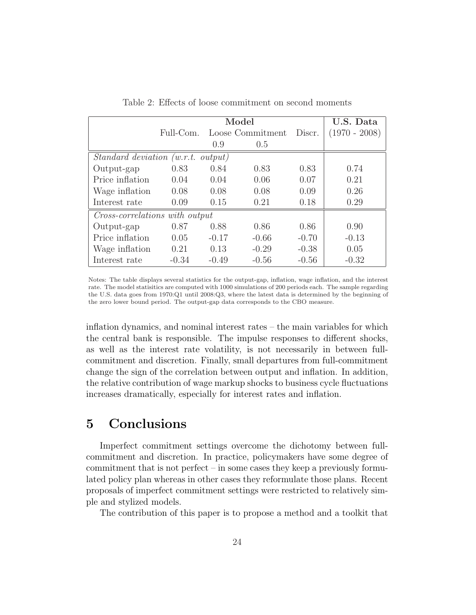|                                    |           | U.S. Data |                  |         |                 |  |  |  |  |  |
|------------------------------------|-----------|-----------|------------------|---------|-----------------|--|--|--|--|--|
|                                    | Full-Com. |           | Loose Commitment | Discr.  | $(1970 - 2008)$ |  |  |  |  |  |
|                                    |           | 0.9       | 0.5              |         |                 |  |  |  |  |  |
| Standard deviation (w.r.t. output) |           |           |                  |         |                 |  |  |  |  |  |
| Output-gap                         | 0.83      | 0.84      | 0.83             | 0.83    | 0.74            |  |  |  |  |  |
| Price inflation                    | 0.04      | 0.04      | 0.06             | 0.07    | 0.21            |  |  |  |  |  |
| Wage inflation                     | 0.08      | 0.08      | 0.08             | 0.09    | 0.26            |  |  |  |  |  |
| Interest rate                      | 0.09      | 0.15      | 0.21             | 0.18    | 0.29            |  |  |  |  |  |
| Cross-correlations with output     |           |           |                  |         |                 |  |  |  |  |  |
| Output-gap                         | 0.87      | 0.88      | 0.86             | 0.86    | 0.90            |  |  |  |  |  |
| Price inflation                    | 0.05      | $-0.17$   | $-0.66$          | $-0.70$ | $-0.13$         |  |  |  |  |  |
| Wage inflation                     | 0.21      | 0.13      | $-0.29$          | $-0.38$ | 0.05            |  |  |  |  |  |
| Interest rate                      | $-0.34$   | $-0.49$   | $-0.56$          | $-0.56$ | $-0.32$         |  |  |  |  |  |

Table 2: Effects of loose commitment on second moments

Notes: The table displays several statistics for the output-gap, inflation, wage inflation, and the interest rate. The model statisitics are computed with 1000 simulations of 200 periods each. The sample regarding the U.S. data goes from 1970:Q1 until 2008:Q3, where the latest data is determined by the beginning of the zero lower bound period. The output-gap data corresponds to the CBO measure.

inflation dynamics, and nominal interest rates – the main variables for which the central bank is responsible. The impulse responses to different shocks, as well as the interest rate volatility, is not necessarily in between fullcommitment and discretion. Finally, small departures from full-commitment change the sign of the correlation between output and inflation. In addition, the relative contribution of wage markup shocks to business cycle fluctuations increases dramatically, especially for interest rates and inflation.

# 5 Conclusions

Imperfect commitment settings overcome the dichotomy between fullcommitment and discretion. In practice, policymakers have some degree of commitment that is not perfect – in some cases they keep a previously formulated policy plan whereas in other cases they reformulate those plans. Recent proposals of imperfect commitment settings were restricted to relatively simple and stylized models.

The contribution of this paper is to propose a method and a toolkit that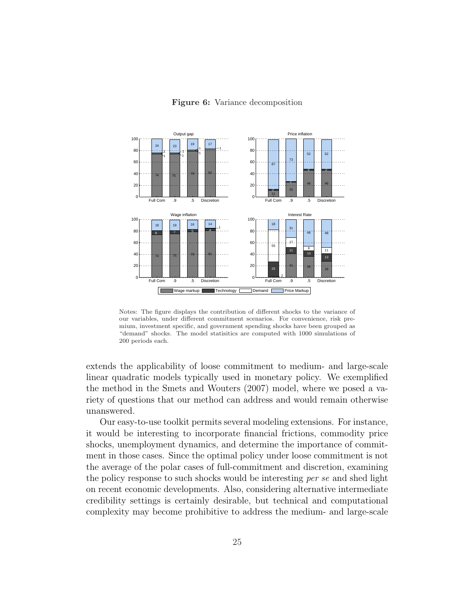Figure 6: Variance decomposition



Notes: The figure displays the contribution of different shocks to the variance of our variables, under different commitment scenarios. For convenience, risk premium, investment specific, and government spending shocks have been grouped as "demand" shocks. The model statisitics are computed with 1000 simulations of 200 periods each.

extends the applicability of loose commitment to medium- and large-scale linear quadratic models typically used in monetary policy. We exemplified the method in the Smets and Wouters (2007) model, where we posed a variety of questions that our method can address and would remain otherwise unanswered.

Our easy-to-use toolkit permits several modeling extensions. For instance, it would be interesting to incorporate financial frictions, commodity price shocks, unemployment dynamics, and determine the importance of commitment in those cases. Since the optimal policy under loose commitment is not the average of the polar cases of full-commitment and discretion, examining the policy response to such shocks would be interesting per se and shed light on recent economic developments. Also, considering alternative intermediate credibility settings is certainly desirable, but technical and computational complexity may become prohibitive to address the medium- and large-scale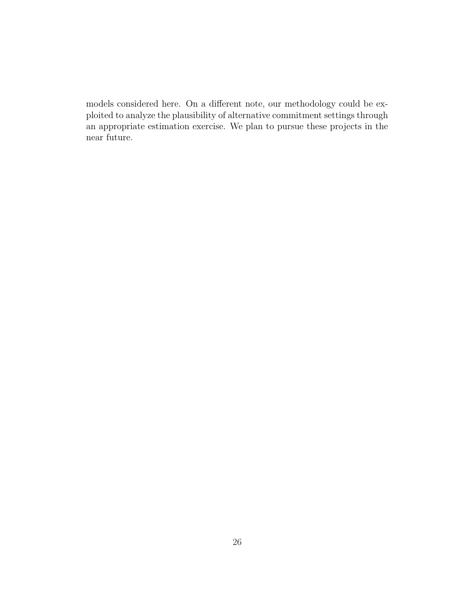models considered here. On a different note, our methodology could be exploited to analyze the plausibility of alternative commitment settings through an appropriate estimation exercise. We plan to pursue these projects in the near future.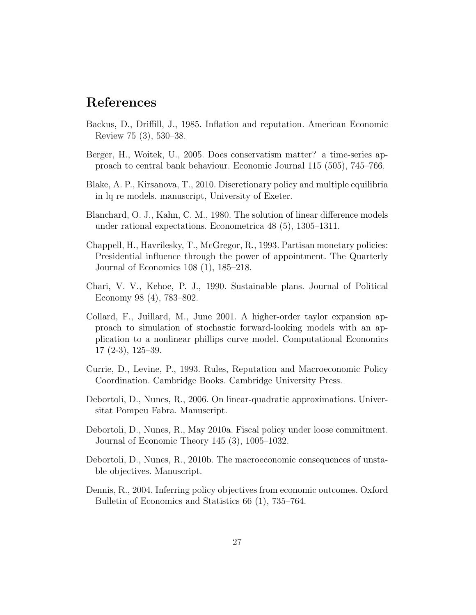### References

- Backus, D., Driffill, J., 1985. Inflation and reputation. American Economic Review 75 (3), 530–38.
- Berger, H., Woitek, U., 2005. Does conservatism matter? a time-series approach to central bank behaviour. Economic Journal 115 (505), 745–766.
- Blake, A. P., Kirsanova, T., 2010. Discretionary policy and multiple equilibria in lq re models. manuscript, University of Exeter.
- Blanchard, O. J., Kahn, C. M., 1980. The solution of linear difference models under rational expectations. Econometrica 48 (5), 1305–1311.
- Chappell, H., Havrilesky, T., McGregor, R., 1993. Partisan monetary policies: Presidential influence through the power of appointment. The Quarterly Journal of Economics 108 (1), 185–218.
- Chari, V. V., Kehoe, P. J., 1990. Sustainable plans. Journal of Political Economy 98 (4), 783–802.
- Collard, F., Juillard, M., June 2001. A higher-order taylor expansion approach to simulation of stochastic forward-looking models with an application to a nonlinear phillips curve model. Computational Economics 17 (2-3), 125–39.
- Currie, D., Levine, P., 1993. Rules, Reputation and Macroeconomic Policy Coordination. Cambridge Books. Cambridge University Press.
- Debortoli, D., Nunes, R., 2006. On linear-quadratic approximations. Universitat Pompeu Fabra. Manuscript.
- Debortoli, D., Nunes, R., May 2010a. Fiscal policy under loose commitment. Journal of Economic Theory 145 (3), 1005–1032.
- Debortoli, D., Nunes, R., 2010b. The macroeconomic consequences of unstable objectives. Manuscript.
- Dennis, R., 2004. Inferring policy objectives from economic outcomes. Oxford Bulletin of Economics and Statistics 66 (1), 735–764.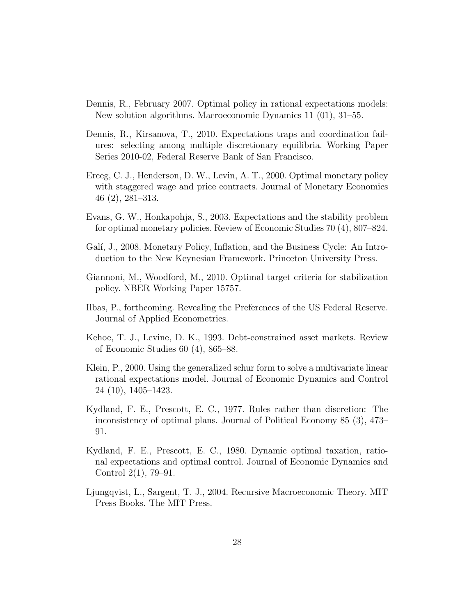- Dennis, R., February 2007. Optimal policy in rational expectations models: New solution algorithms. Macroeconomic Dynamics 11 (01), 31–55.
- Dennis, R., Kirsanova, T., 2010. Expectations traps and coordination failures: selecting among multiple discretionary equilibria. Working Paper Series 2010-02, Federal Reserve Bank of San Francisco.
- Erceg, C. J., Henderson, D. W., Levin, A. T., 2000. Optimal monetary policy with staggered wage and price contracts. Journal of Monetary Economics 46 (2), 281–313.
- Evans, G. W., Honkapohja, S., 2003. Expectations and the stability problem for optimal monetary policies. Review of Economic Studies 70 (4), 807–824.
- Galí, J., 2008. Monetary Policy, Inflation, and the Business Cycle: An Introduction to the New Keynesian Framework. Princeton University Press.
- Giannoni, M., Woodford, M., 2010. Optimal target criteria for stabilization policy. NBER Working Paper 15757.
- Ilbas, P., forthcoming. Revealing the Preferences of the US Federal Reserve. Journal of Applied Econometrics.
- Kehoe, T. J., Levine, D. K., 1993. Debt-constrained asset markets. Review of Economic Studies 60 (4), 865–88.
- Klein, P., 2000. Using the generalized schur form to solve a multivariate linear rational expectations model. Journal of Economic Dynamics and Control 24 (10), 1405–1423.
- Kydland, F. E., Prescott, E. C., 1977. Rules rather than discretion: The inconsistency of optimal plans. Journal of Political Economy 85 (3), 473– 91.
- Kydland, F. E., Prescott, E. C., 1980. Dynamic optimal taxation, rational expectations and optimal control. Journal of Economic Dynamics and Control 2(1), 79–91.
- Ljungqvist, L., Sargent, T. J., 2004. Recursive Macroeconomic Theory. MIT Press Books. The MIT Press.